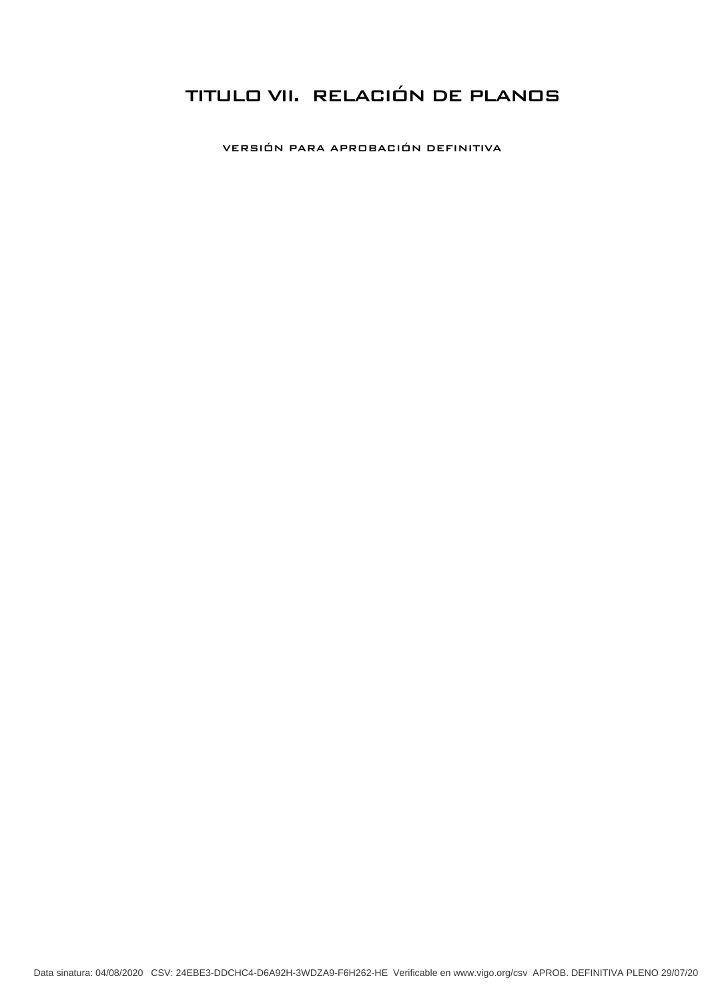## TITULO VII. RELACIÓN DE PLANOS

VERSIÓN PARA APROBACIÓN DEFINITIVA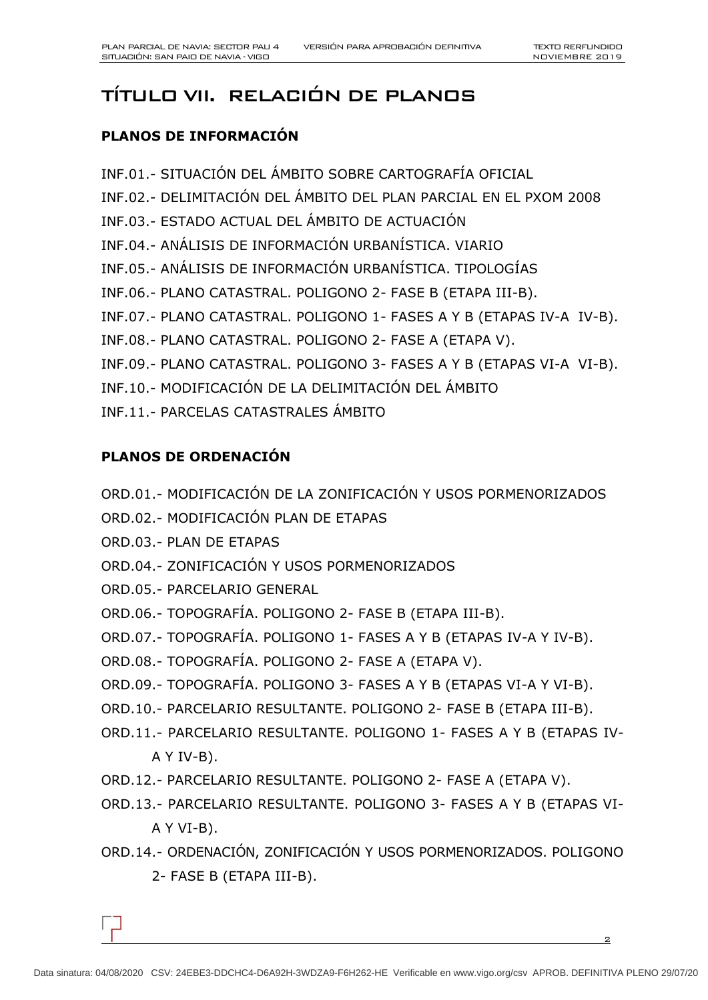## TÍTULO VII. RELACIÓN DE PLANOS

## **PLANOS DE INFORMACIÓN**

- INF.01.- SITUACIÓN DEL ÁMBITO SOBRE CARTOGRAFÍA OFICIAL
- INF.02.- DELIMITACIÓN DEL ÁMBITO DEL PLAN PARCIAL EN EL PXOM 2008
- INF.03.- ESTADO ACTUAL DEL ÁMBITO DE ACTUACIÓN
- INF.04.- ANÁLISIS DE INFORMACIÓN URBANÍSTICA. VIARIO
- INF.05.- ANÁLISIS DE INFORMACIÓN URBANÍSTICA. TIPOLOGÍAS
- INF.06.- PLANO CATASTRAL. POLIGONO 2- FASE B (ETAPA III-B).
- INF.07.- PLANO CATASTRAL. POLIGONO 1- FASES A Y B (ETAPAS IV-A IV-B).
- INF.08.- PLANO CATASTRAL. POLIGONO 2- FASE A (ETAPA V).
- INF.09.- PLANO CATASTRAL. POLIGONO 3- FASES A Y B (ETAPAS VI-A VI-B).
- INF.10.- MODIFICACIÓN DE LA DELIMITACIÓN DEL ÁMBITO
- INF.11.- PARCELAS CATASTRALES ÁMBITO

## **PLANOS DE ORDENACIÓN**

- ORD.01.- MODIFICACIÓN DE LA ZONIFICACIÓN Y USOS PORMENORIZADOS
- ORD.02.- MODIFICACIÓN PLAN DE ETAPAS
- ORD.03.- PLAN DE ETAPAS
- ORD.04.- ZONIFICACIÓN Y USOS PORMENORIZADOS
- ORD.05.- PARCELARIO GENERAL
- ORD.06.- TOPOGRAFÍA. POLIGONO 2- FASE B (ETAPA III-B).
- ORD.07.- TOPOGRAFÍA. POLIGONO 1- FASES A Y B (ETAPAS IV-A Y IV-B).
- ORD.08.- TOPOGRAFÍA. POLIGONO 2- FASE A (ETAPA V).
- ORD.09.- TOPOGRAFÍA. POLIGONO 3- FASES A Y B (ETAPAS VI-A Y VI-B).
- ORD.10.- PARCELARIO RESULTANTE. POLIGONO 2- FASE B (ETAPA III-B).
- ORD.11.- PARCELARIO RESULTANTE. POLIGONO 1- FASES A Y B (ETAPAS IV-A Y IV-B).
- ORD.12.- PARCELARIO RESULTANTE. POLIGONO 2- FASE A (ETAPA V).
- ORD.13.- PARCELARIO RESULTANTE. POLIGONO 3- FASES A Y B (ETAPAS VI-A Y VI-B).
- ORD.14.- ORDENACIÓN, ZONIFICACIÓN Y USOS PORMENORIZADOS. POLIGONO 2- FASE B (ETAPA III-B).

2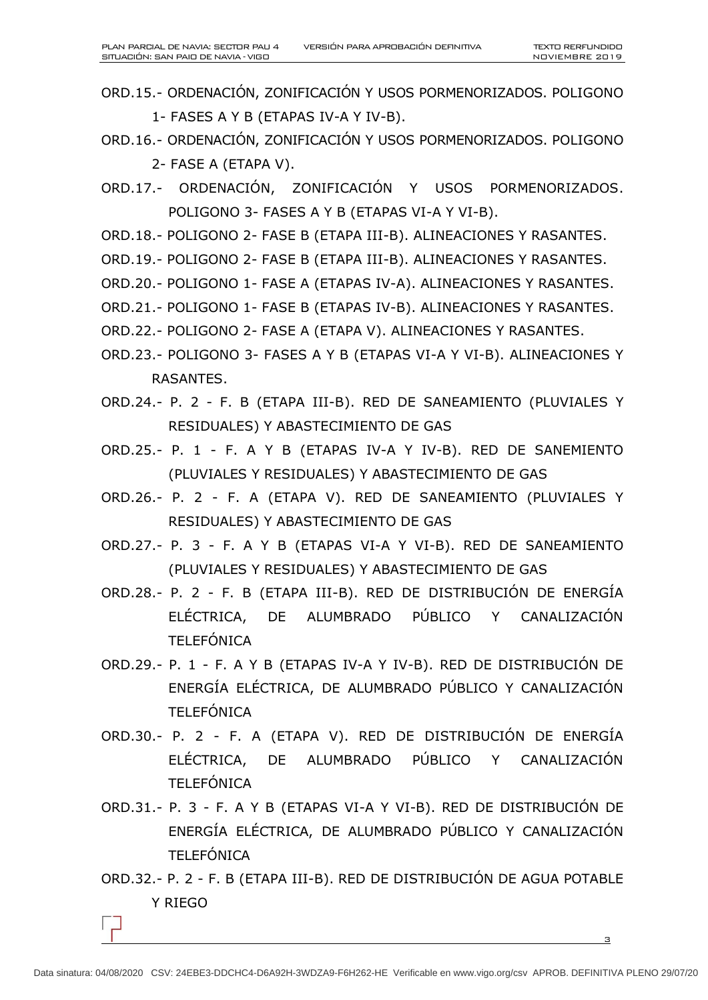- ORD.15.- ORDENACIÓN, ZONIFICACIÓN Y USOS PORMENORIZADOS. POLIGONO 1- FASES A Y B (ETAPAS IV-A Y IV-B).
- ORD.16.- ORDENACIÓN, ZONIFICACIÓN Y USOS PORMENORIZADOS. POLIGONO 2- FASE A (ETAPA V).
- ORD.17.- ORDENACIÓN, ZONIFICACIÓN Y USOS PORMENORIZADOS. POLIGONO 3- FASES A Y B (ETAPAS VI-A Y VI-B).
- ORD.18.- POLIGONO 2- FASE B (ETAPA III-B). ALINEACIONES Y RASANTES.
- ORD.19.- POLIGONO 2- FASE B (ETAPA III-B). ALINEACIONES Y RASANTES.
- ORD.20.- POLIGONO 1- FASE A (ETAPAS IV-A). ALINEACIONES Y RASANTES.
- ORD.21.- POLIGONO 1- FASE B (ETAPAS IV-B). ALINEACIONES Y RASANTES.
- ORD.22.- POLIGONO 2- FASE A (ETAPA V). ALINEACIONES Y RASANTES.
- ORD.23.- POLIGONO 3- FASES A Y B (ETAPAS VI-A Y VI-B). ALINEACIONES Y RASANTES.
- ORD.24.- P. 2 F. B (ETAPA III-B). RED DE SANEAMIENTO (PLUVIALES Y RESIDUALES) Y ABASTECIMIENTO DE GAS
- ORD.25.- P. 1 F. A Y B (ETAPAS IV-A Y IV-B). RED DE SANEMIENTO (PLUVIALES Y RESIDUALES) Y ABASTECIMIENTO DE GAS
- ORD.26.- P. 2 F. A (ETAPA V). RED DE SANEAMIENTO (PLUVIALES Y RESIDUALES) Y ABASTECIMIENTO DE GAS
- ORD.27.- P. 3 F. A Y B (ETAPAS VI-A Y VI-B). RED DE SANEAMIENTO (PLUVIALES Y RESIDUALES) Y ABASTECIMIENTO DE GAS
- ORD.28.- P. 2 F. B (ETAPA III-B). RED DE DISTRIBUCIÓN DE ENERGÍA ELÉCTRICA, DE ALUMBRADO PÚBLICO Y CANALIZACIÓN TELEFÓNICA
- ORD.29.- P. 1 F. A Y B (ETAPAS IV-A Y IV-B). RED DE DISTRIBUCIÓN DE ENERGÍA ELÉCTRICA, DE ALUMBRADO PÚBLICO Y CANALIZACIÓN TELEFÓNICA
- ORD.30.- P. 2 F. A (ETAPA V). RED DE DISTRIBUCIÓN DE ENERGÍA ELÉCTRICA, DE ALUMBRADO PÚBLICO Y CANALIZACIÓN TELEFÓNICA
- ORD.31.- P. 3 F. A Y B (ETAPAS VI-A Y VI-B). RED DE DISTRIBUCIÓN DE ENERGÍA ELÉCTRICA, DE ALUMBRADO PÚBLICO Y CANALIZACIÓN TELEFÓNICA
- ORD.32.- P. 2 F. B (ETAPA III-B). RED DE DISTRIBUCIÓN DE AGUA POTABLE Y RIEGO

<u>3. Andreas Andreas Andreas Andreas Andreas Andreas Andreas Andreas Andreas Andreas Andreas Andreas Andreas A</u>